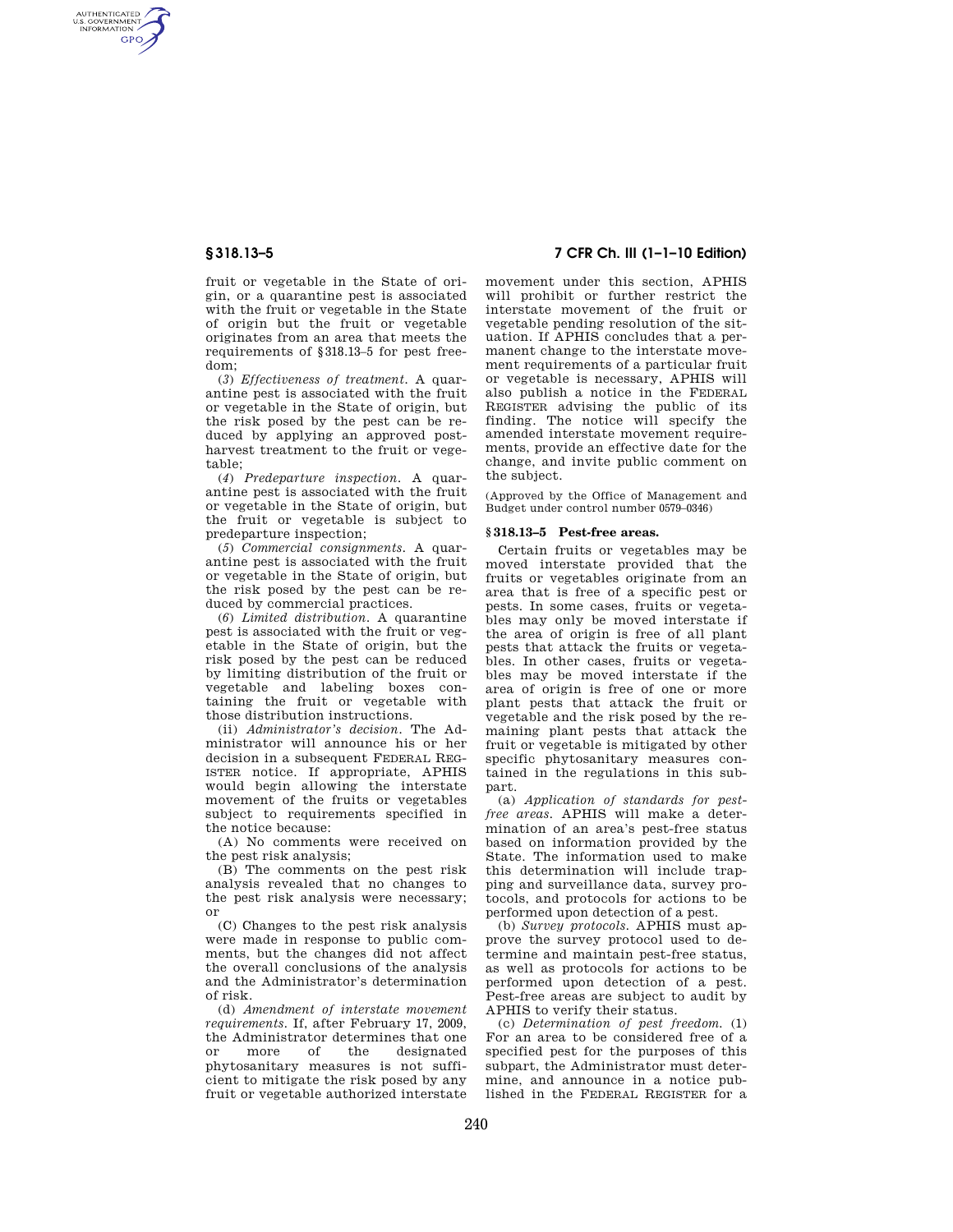AUTHENTICATED<br>U.S. GOVERNMENT<br>INFORMATION **GPO** 

> fruit or vegetable in the State of origin, or a quarantine pest is associated with the fruit or vegetable in the State of origin but the fruit or vegetable originates from an area that meets the requirements of §318.13–5 for pest freedom;

> (*3*) *Effectiveness of treatment.* A quarantine pest is associated with the fruit or vegetable in the State of origin, but the risk posed by the pest can be reduced by applying an approved postharvest treatment to the fruit or vegetable;

> (*4*) *Predeparture inspection.* A quarantine pest is associated with the fruit or vegetable in the State of origin, but the fruit or vegetable is subject to predeparture inspection;

> (*5*) *Commercial consignments.* A quarantine pest is associated with the fruit or vegetable in the State of origin, but the risk posed by the pest can be reduced by commercial practices.

> (*6*) *Limited distribution.* A quarantine pest is associated with the fruit or vegetable in the State of origin, but the risk posed by the pest can be reduced by limiting distribution of the fruit or vegetable and labeling boxes containing the fruit or vegetable with those distribution instructions.

> (ii) *Administrator's decision.* The Administrator will announce his or her decision in a subsequent FEDERAL REG-ISTER notice. If appropriate, APHIS would begin allowing the interstate movement of the fruits or vegetables subject to requirements specified in the notice because:

> (A) No comments were received on the pest risk analysis;

> (B) The comments on the pest risk analysis revealed that no changes to the pest risk analysis were necessary; or

> (C) Changes to the pest risk analysis were made in response to public comments, but the changes did not affect the overall conclusions of the analysis and the Administrator's determination of risk.

> (d) *Amendment of interstate movement requirements.* If, after February 17, 2009, the Administrator determines that one<br>or more of the designated designated phytosanitary measures is not sufficient to mitigate the risk posed by any fruit or vegetable authorized interstate

# **§ 318.13–5 7 CFR Ch. III (1–1–10 Edition)**

movement under this section, APHIS will prohibit or further restrict the interstate movement of the fruit or vegetable pending resolution of the situation. If APHIS concludes that a permanent change to the interstate movement requirements of a particular fruit or vegetable is necessary, APHIS will also publish a notice in the FEDERAL REGISTER advising the public of its finding. The notice will specify the amended interstate movement requirements, provide an effective date for the change, and invite public comment on the subject.

(Approved by the Office of Management and Budget under control number 0579–0346)

### **§ 318.13–5 Pest-free areas.**

Certain fruits or vegetables may be moved interstate provided that the fruits or vegetables originate from an area that is free of a specific pest or pests. In some cases, fruits or vegetables may only be moved interstate if the area of origin is free of all plant pests that attack the fruits or vegetables. In other cases, fruits or vegetables may be moved interstate if the area of origin is free of one or more plant pests that attack the fruit or vegetable and the risk posed by the remaining plant pests that attack the fruit or vegetable is mitigated by other specific phytosanitary measures contained in the regulations in this subpart.

(a) *Application of standards for pestfree areas.* APHIS will make a determination of an area's pest-free status based on information provided by the State. The information used to make this determination will include trapping and surveillance data, survey protocols, and protocols for actions to be performed upon detection of a pest.

(b) *Survey protocols.* APHIS must approve the survey protocol used to determine and maintain pest-free status, as well as protocols for actions to be performed upon detection of a pest. Pest-free areas are subject to audit by APHIS to verify their status.

(c) *Determination of pest freedom.* (1) For an area to be considered free of a specified pest for the purposes of this subpart, the Administrator must determine, and announce in a notice published in the FEDERAL REGISTER for a